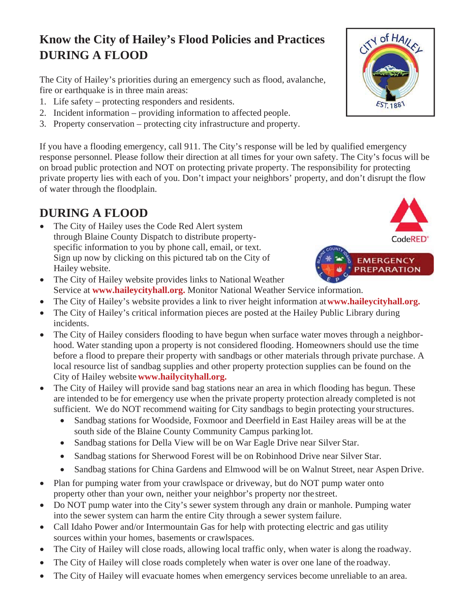## **Know the City of Hailey's Flood Policies and Practices DURING A FLOOD**

The City of Hailey's priorities during an emergency such as flood, avalanche, fire or earthquake is in three main areas:

- 1. Life safety protecting responders and residents.
- 2. Incident information providing information to affected people.
- 3. Property conservation protecting city infrastructure and property.

If you have a flooding emergency, call 911. The City's response will be led by qualified emergency response personnel. Please follow their direction at all times for your own safety. The City's focus will be on broad public protection and NOT on protecting private property. The responsibility for protecting private property lies with each of you. Don't impact your neighbors' property, and don't disrupt the flow of water through the floodplain.

## **DURING A FLOOD**

- The City of Hailey uses the Code Red Alert system through Blaine County Dispatch to distribute propertyspecific information to you by phone call, email, or text. Sign up now by clicking on this pictured tab on the City of Hailey website.
- The City of Hailey website provides links to National Weather Service at **www.haileycityhall.org.** Monitor National Weather Service information.
- x The City of Hailey's website provides a link to river height information at **www.haileycityhall.org.**
- The City of Hailey's critical information pieces are posted at the Hailey Public Library during incidents.
- The City of Hailey considers flooding to have begun when surface water moves through a neighborhood. Water standing upon a property is not considered flooding. Homeowners should use the time before a flood to prepare their property with sandbags or other materials through private purchase. A local resource list of sandbag supplies and other property protection supplies can be found on the City of Hailey website **www.hailycityhall.org.**
- The City of Hailey will provide sand bag stations near an area in which flooding has begun. These are intended to be for emergency use when the private property protection already completed is not sufficient. We do NOT recommend waiting for City sandbags to begin protecting your structures.
	- Sandbag stations for Woodside, Foxmoor and Deerfield in East Hailey areas will be at the south side of the Blaine County Community Campus parking lot.
	- Sandbag stations for Della View will be on War Eagle Drive near Silver Star.
	- Sandbag stations for Sherwood Forest will be on Robinhood Drive near Silver Star.
	- Sandbag stations for China Gardens and Elmwood will be on Walnut Street, near Aspen Drive.
- Plan for pumping water from your crawlspace or driveway, but do NOT pump water onto property other than your own, neither your neighbor's property nor the street.
- Do NOT pump water into the City's sewer system through any drain or manhole. Pumping water into the sewer system can harm the entire City through a sewer system failure.
- Call Idaho Power and/or Intermountain Gas for help with protecting electric and gas utility sources within your homes, basements or crawlspaces.
- The City of Hailey will close roads, allowing local traffic only, when water is along the roadway.
- The City of Hailey will close roads completely when water is over one lane of the roadway.
- The City of Hailey will evacuate homes when emergency services become unreliable to an area.